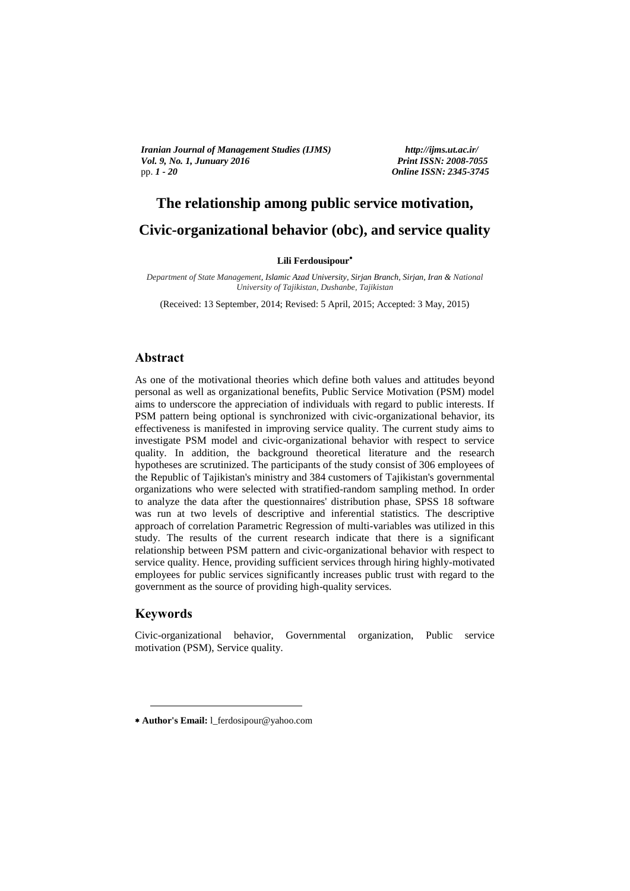*Iranian Journal of Management Studies (IJMS) http://ijms.ut.ac.ir/ Vol. 9, No. 1, Junuary 2016 Print ISSN: 2008-7055*  pp. *1 - 20 Online ISSN: 2345-3745*

# **The relationship among public service motivation,**

### **Civic-organizational behavior (obc), and service quality**   Civic-organizational benavior (obc), an

#### **Lili Ferdousipour**

*Department of State Management, Islamic Azad University, Sirjan Branch, Sirjan, Iran & National University of Tajikistan, Dushanbe, Tajikistan*

(Received: 13 September, 2014; Revised: 5 April, 2015; Accepted: 3 May, 2015)

### **Abstract**

As one of the motivational theories which define both values and attitudes beyond personal as well as organizational benefits, Public Service Motivation (PSM) model aims to underscore the appreciation of individuals with regard to public interests. If PSM pattern being optional is synchronized with civic-organizational behavior, its effectiveness is manifested in improving service quality. The current study aims to investigate PSM model and civic-organizational behavior with respect to service quality. In addition, the background theoretical literature and the research hypotheses are scrutinized. The participants of the study consist of 306 employees of the Republic of Tajikistan's ministry and 384 customers of Tajikistan's governmental organizations who were selected with stratified-random sampling method. In order to analyze the data after the questionnaires' distribution phase, SPSS 18 software was run at two levels of descriptive and inferential statistics. The descriptive approach of correlation Parametric Regression of multi-variables was utilized in this study. The results of the current research indicate that there is a significant relationship between PSM pattern and civic-organizational behavior with respect to service quality. Hence, providing sufficient services through hiring highly-motivated employees for public services significantly increases public trust with regard to the government as the source of providing high-quality services.

### **Keywords**

1

Civic-organizational behavior, Governmental organization, Public service motivation (PSM), Service quality.

**Author's Email:** l\_ferdosipour@yahoo.com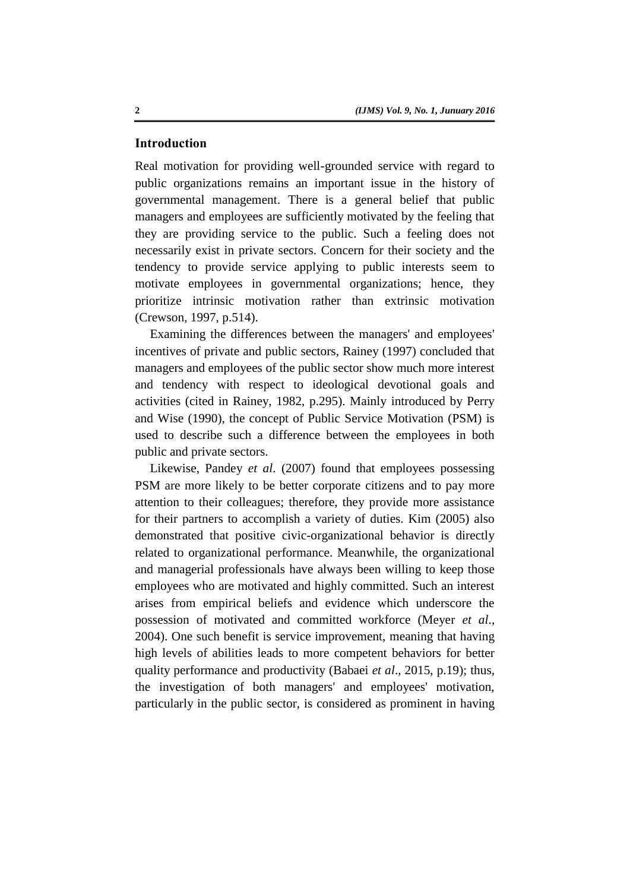### **Introduction**

Real motivation for providing well-grounded service with regard to public organizations remains an important issue in the history of governmental management. There is a general belief that public managers and employees are sufficiently motivated by the feeling that they are providing service to the public. Such a feeling does not necessarily exist in private sectors. Concern for their society and the tendency to provide service applying to public interests seem to motivate employees in governmental organizations; hence, they prioritize intrinsic motivation rather than extrinsic motivation (Crewson, 1997, p.514).

Examining the differences between the managers' and employees' incentives of private and public sectors, Rainey (1997) concluded that managers and employees of the public sector show much more interest and tendency with respect to ideological devotional goals and activities (cited in Rainey, 1982, p.295). Mainly introduced by Perry and Wise (1990), the concept of Public Service Motivation (PSM) is used to describe such a difference between the employees in both public and private sectors.

Likewise, Pandey *et al*. (2007) found that employees possessing PSM are more likely to be better corporate citizens and to pay more attention to their colleagues; therefore, they provide more assistance for their partners to accomplish a variety of duties. Kim (2005) also demonstrated that positive civic-organizational behavior is directly related to organizational performance. Meanwhile, the organizational and managerial professionals have always been willing to keep those employees who are motivated and highly committed. Such an interest arises from empirical beliefs and evidence which underscore the possession of motivated and committed workforce (Meyer *et al*., 2004). One such benefit is service improvement, meaning that having high levels of abilities leads to more competent behaviors for better quality performance and productivity (Babaei *et al*., 2015, p.19); thus, the investigation of both managers' and employees' motivation, particularly in the public sector, is considered as prominent in having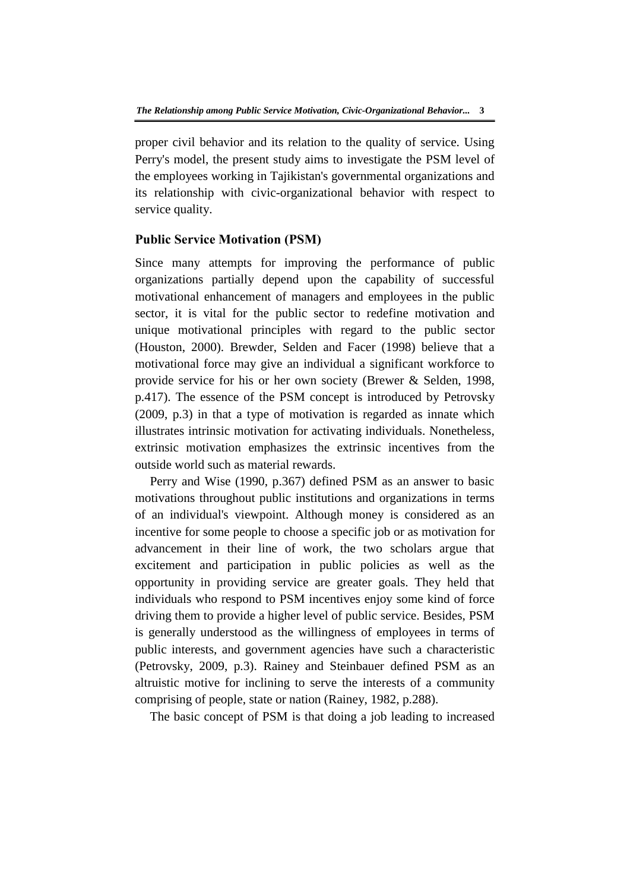proper civil behavior and its relation to the quality of service. Using Perry's model, the present study aims to investigate the PSM level of the employees working in Tajikistan's governmental organizations and its relationship with civic-organizational behavior with respect to service quality.

## **Public Service Motivation (PSM)**

Since many attempts for improving the performance of public organizations partially depend upon the capability of successful motivational enhancement of managers and employees in the public sector, it is vital for the public sector to redefine motivation and unique motivational principles with regard to the public sector (Houston, 2000). Brewder, Selden and Facer (1998) believe that a motivational force may give an individual a significant workforce to provide service for his or her own society (Brewer & Selden, 1998, p.417). The essence of the PSM concept is introduced by Petrovsky (2009, p.3) in that a type of motivation is regarded as innate which illustrates intrinsic motivation for activating individuals. Nonetheless, extrinsic motivation emphasizes the extrinsic incentives from the outside world such as material rewards.

Perry and Wise (1990, p.367) defined PSM as an answer to basic motivations throughout public institutions and organizations in terms of an individual's viewpoint. Although money is considered as an incentive for some people to choose a specific job or as motivation for advancement in their line of work, the two scholars argue that excitement and participation in public policies as well as the opportunity in providing service are greater goals. They held that individuals who respond to PSM incentives enjoy some kind of force driving them to provide a higher level of public service. Besides, PSM is generally understood as the willingness of employees in terms of public interests, and government agencies have such a characteristic (Petrovsky, 2009, p.3). Rainey and Steinbauer defined PSM as an altruistic motive for inclining to serve the interests of a community comprising of people, state or nation (Rainey, 1982, p.288).

The basic concept of PSM is that doing a job leading to increased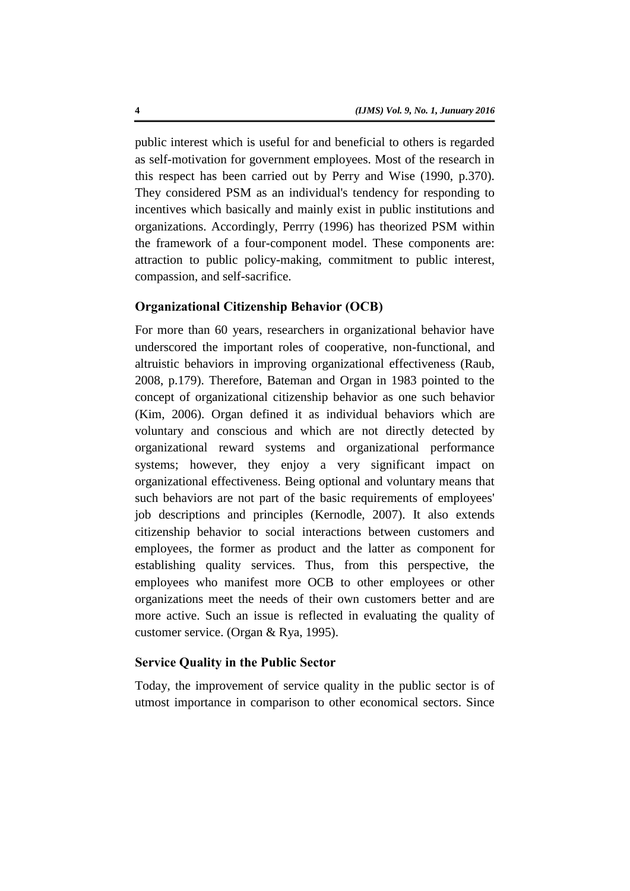public interest which is useful for and beneficial to others is regarded as self-motivation for government employees. Most of the research in this respect has been carried out by Perry and Wise (1990, p.370). They considered PSM as an individual's tendency for responding to incentives which basically and mainly exist in public institutions and organizations. Accordingly, Perrry (1996) has theorized PSM within the framework of a four-component model. These components are: attraction to public policy-making, commitment to public interest, compassion, and self-sacrifice.

# **Organizational Citizenship Behavior (OCB(**

For more than 60 years, researchers in organizational behavior have underscored the important roles of cooperative, non-functional, and altruistic behaviors in improving organizational effectiveness (Raub, 2008, p.179). Therefore, Bateman and Organ in 1983 pointed to the concept of organizational citizenship behavior as one such behavior (Kim, 2006). Organ defined it as individual behaviors which are voluntary and conscious and which are not directly detected by organizational reward systems and organizational performance systems; however, they enjoy a very significant impact on organizational effectiveness. Being optional and voluntary means that such behaviors are not part of the basic requirements of employees' job descriptions and principles (Kernodle, 2007). It also extends citizenship behavior to social interactions between customers and employees, the former as product and the latter as component for establishing quality services. Thus, from this perspective, the employees who manifest more OCB to other employees or other organizations meet the needs of their own customers better and are more active. Such an issue is reflected in evaluating the quality of customer service. (Organ & Rya, 1995).

### **Service Quality in the Public Sector**

Today, the improvement of service quality in the public sector is of utmost importance in comparison to other economical sectors. Since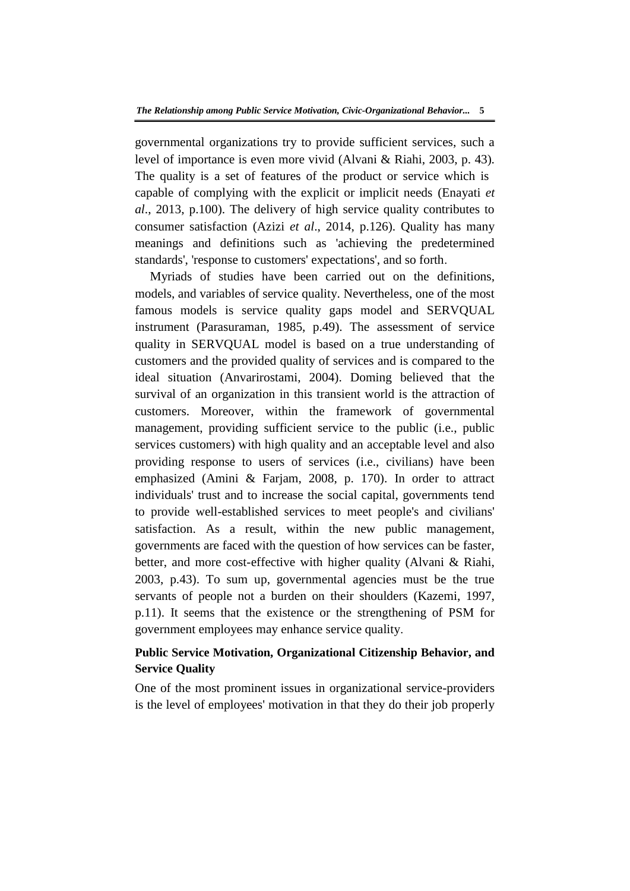governmental organizations try to provide sufficient services, such a level of importance is even more vivid (Alvani & Riahi, 2003, p. 43). The quality is a set of features of the product or service which is capable of complying with the explicit or implicit needs (Enayati *et al*., 2013, p.100). The delivery of high service quality contributes to consumer satisfaction (Azizi *et al*., 2014, p.126). Quality has many meanings and definitions such as 'achieving the predetermined standards', 'response to customers' expectations', and so forth.

Myriads of studies have been carried out on the definitions, models, and variables of service quality. Nevertheless, one of the most famous models is service quality gaps model and SERVQUAL instrument (Parasuraman, 1985, p.49). The assessment of service quality in SERVQUAL model is based on a true understanding of customers and the provided quality of services and is compared to the ideal situation (Anvarirostami, 2004). Doming believed that the survival of an organization in this transient world is the attraction of customers. Moreover, within the framework of governmental management, providing sufficient service to the public (i.e., public services customers) with high quality and an acceptable level and also providing response to users of services (i.e., civilians) have been emphasized (Amini & Farjam, 2008, p. 170). In order to attract individuals' trust and to increase the social capital, governments tend to provide well-established services to meet people's and civilians' satisfaction. As a result, within the new public management, governments are faced with the question of how services can be faster, better, and more cost-effective with higher quality (Alvani & Riahi, 2003, p.43). To sum up, governmental agencies must be the true servants of people not a burden on their shoulders (Kazemi, 1997, p.11). It seems that the existence or the strengthening of PSM for government employees may enhance service quality.

# **Public Service Motivation, Organizational Citizenship Behavior, and Service Quality**

One of the most prominent issues in organizational service-providers is the level of employees' motivation in that they do their job properly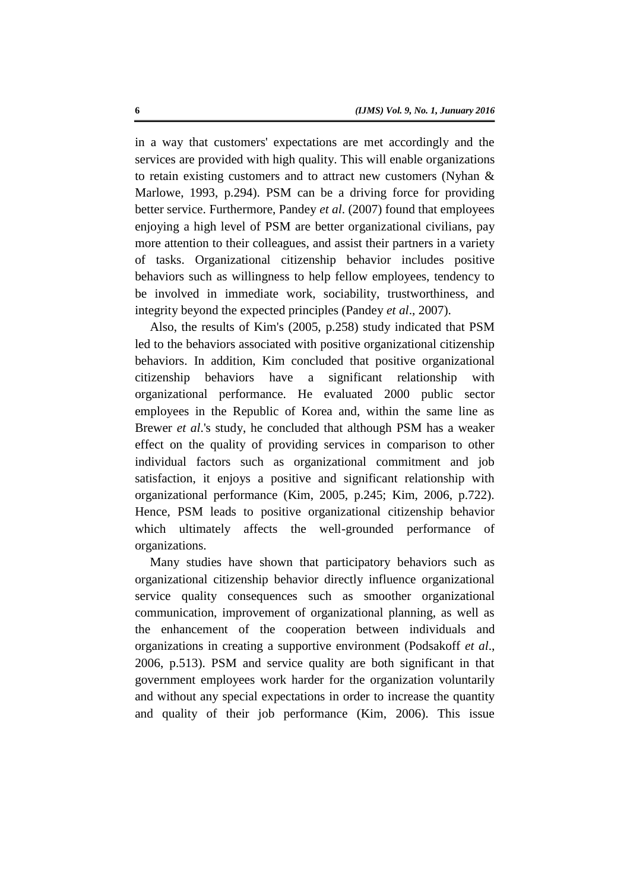in a way that customers' expectations are met accordingly and the services are provided with high quality. This will enable organizations to retain existing customers and to attract new customers (Nyhan & Marlowe, 1993, p.294). PSM can be a driving force for providing better service. Furthermore, Pandey *et al*. (2007) found that employees enjoying a high level of PSM are better organizational civilians, pay more attention to their colleagues, and assist their partners in a variety of tasks. Organizational citizenship behavior includes positive behaviors such as willingness to help fellow employees, tendency to be involved in immediate work, sociability, trustworthiness, and integrity beyond the expected principles (Pandey *et al*., 2007).

Also, the results of Kim's (2005, p.258) study indicated that PSM led to the behaviors associated with positive organizational citizenship behaviors. In addition, Kim concluded that positive organizational citizenship behaviors have a significant relationship with organizational performance. He evaluated 2000 public sector employees in the Republic of Korea and, within the same line as Brewer *et al*.'s study, he concluded that although PSM has a weaker effect on the quality of providing services in comparison to other individual factors such as organizational commitment and job satisfaction, it enjoys a positive and significant relationship with organizational performance (Kim, 2005, p.245; Kim, 2006, p.722). Hence, PSM leads to positive organizational citizenship behavior which ultimately affects the well-grounded performance of organizations.

Many studies have shown that participatory behaviors such as organizational citizenship behavior directly influence organizational service quality consequences such as smoother organizational communication, improvement of organizational planning, as well as the enhancement of the cooperation between individuals and organizations in creating a supportive environment (Podsakoff *et al*., 2006, p.513). PSM and service quality are both significant in that government employees work harder for the organization voluntarily and without any special expectations in order to increase the quantity and quality of their job performance (Kim, 2006). This issue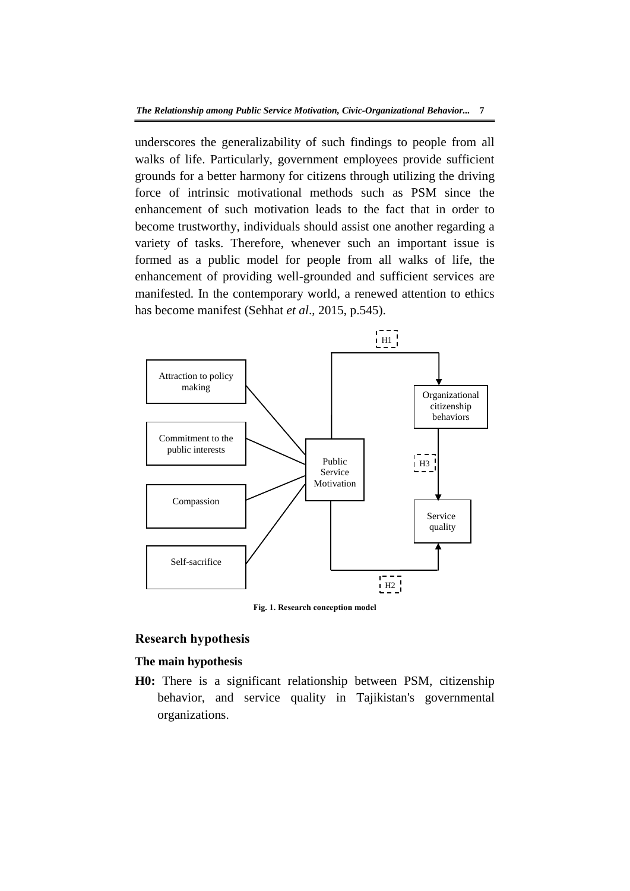underscores the generalizability of such findings to people from all walks of life. Particularly, government employees provide sufficient grounds for a better harmony for citizens through utilizing the driving force of intrinsic motivational methods such as PSM since the enhancement of such motivation leads to the fact that in order to become trustworthy, individuals should assist one another regarding a variety of tasks. Therefore, whenever such an important issue is formed as a public model for people from all walks of life, the enhancement of providing well-grounded and sufficient services are manifested. In the contemporary world, a renewed attention to ethics has become manifest (Sehhat *et al*., 2015, p.545).



**Fig. 1. Research conception model**

# **Research hypothesis**

### **The main hypothesis**

**H0:** There is a significant relationship between PSM, citizenship behavior, and service quality in Tajikistan's governmental organizations.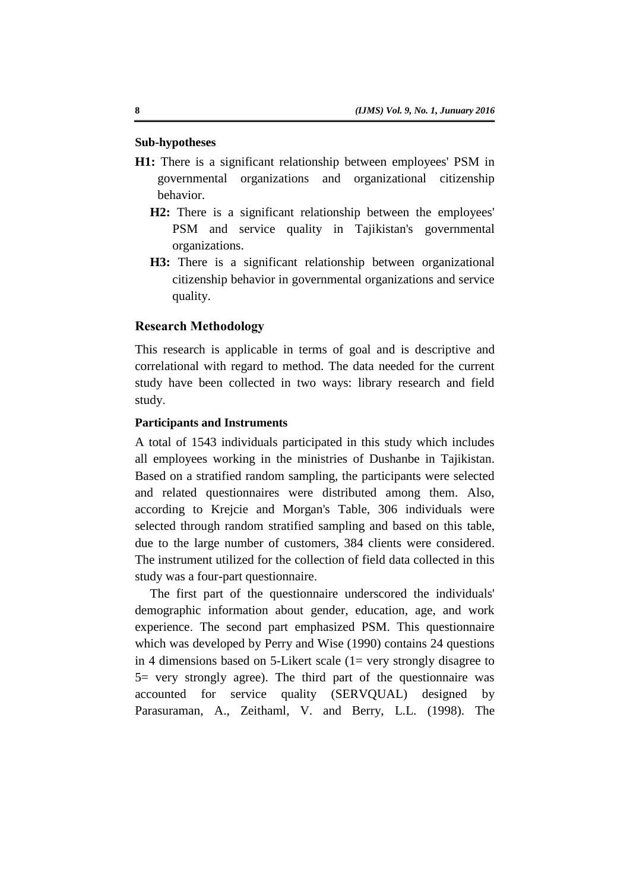### **Sub-hypotheses**

- **H1:** There is a significant relationship between employees' PSM in governmental organizations and organizational citizenship behavior.
	- **H2:** There is a significant relationship between the employees' PSM and service quality in Tajikistan's governmental organizations.
	- **H3:** There is a significant relationship between organizational citizenship behavior in governmental organizations and service quality.

#### **Research Methodology**

This research is applicable in terms of goal and is descriptive and correlational with regard to method. The data needed for the current study have been collected in two ways: library research and field study.

### **Participants and Instruments**

A total of 1543 individuals participated in this study which includes all employees working in the ministries of Dushanbe in Tajikistan. Based on a stratified random sampling, the participants were selected and related questionnaires were distributed among them. Also, according to Krejcie and Morgan's Table, 306 individuals were selected through random stratified sampling and based on this table, due to the large number of customers, 384 clients were considered. The instrument utilized for the collection of field data collected in this study was a four-part questionnaire.

The first part of the questionnaire underscored the individuals' demographic information about gender, education, age, and work experience. The second part emphasized PSM. This questionnaire which was developed by Perry and Wise (1990) contains 24 questions in 4 dimensions based on 5-Likert scale (1= very strongly disagree to 5= very strongly agree). The third part of the questionnaire was accounted for service quality (SERVQUAL) designed by Parasuraman, A., Zeithaml, V. and Berry, L.L. (1998). The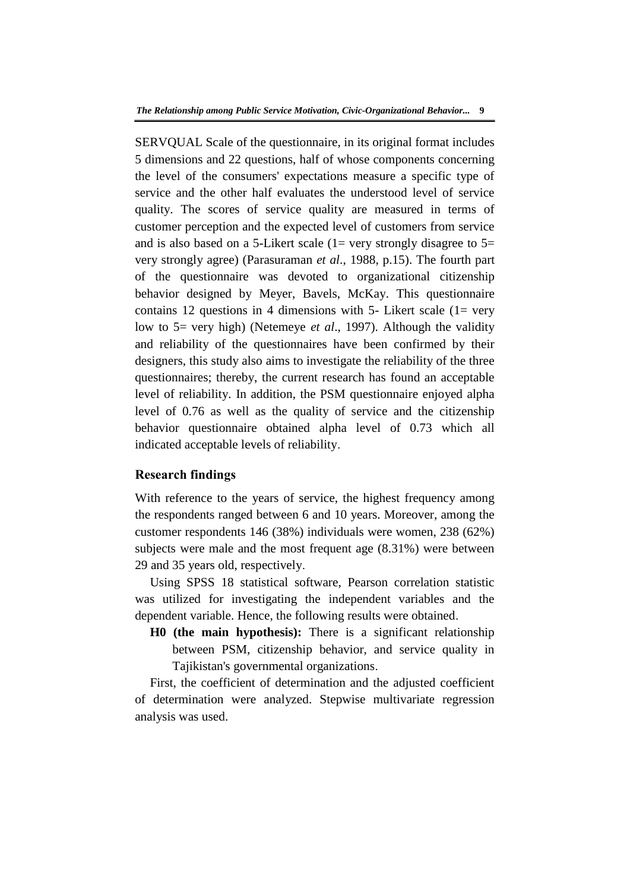SERVQUAL Scale of the questionnaire, in its original format includes 5 dimensions and 22 questions, half of whose components concerning the level of the consumers' expectations measure a specific type of service and the other half evaluates the understood level of service quality. The scores of service quality are measured in terms of customer perception and the expected level of customers from service and is also based on a 5-Likert scale  $(1=$  very strongly disagree to  $5=$ very strongly agree) (Parasuraman *et al*., 1988, p.15). The fourth part of the questionnaire was devoted to organizational citizenship behavior designed by Meyer, Bavels, McKay. This questionnaire contains 12 questions in 4 dimensions with 5- Likert scale  $(1=$  very low to 5= very high) (Netemeye *et al*., 1997). Although the validity and reliability of the questionnaires have been confirmed by their designers, this study also aims to investigate the reliability of the three questionnaires; thereby, the current research has found an acceptable level of reliability. In addition, the PSM questionnaire enjoyed alpha level of 0.76 as well as the quality of service and the citizenship behavior questionnaire obtained alpha level of 0.73 which all indicated acceptable levels of reliability.

#### **Research findings**

With reference to the years of service, the highest frequency among the respondents ranged between 6 and 10 years. Moreover, among the customer respondents 146 (38%) individuals were women, 238 (62%) subjects were male and the most frequent age (8.31%) were between 29 and 35 years old, respectively.

Using SPSS 18 statistical software, Pearson correlation statistic was utilized for investigating the independent variables and the dependent variable. Hence, the following results were obtained.

**H0 (the main hypothesis):** There is a significant relationship between PSM, citizenship behavior, and service quality in Tajikistan's governmental organizations.

First, the coefficient of determination and the adjusted coefficient of determination were analyzed. Stepwise multivariate regression analysis was used.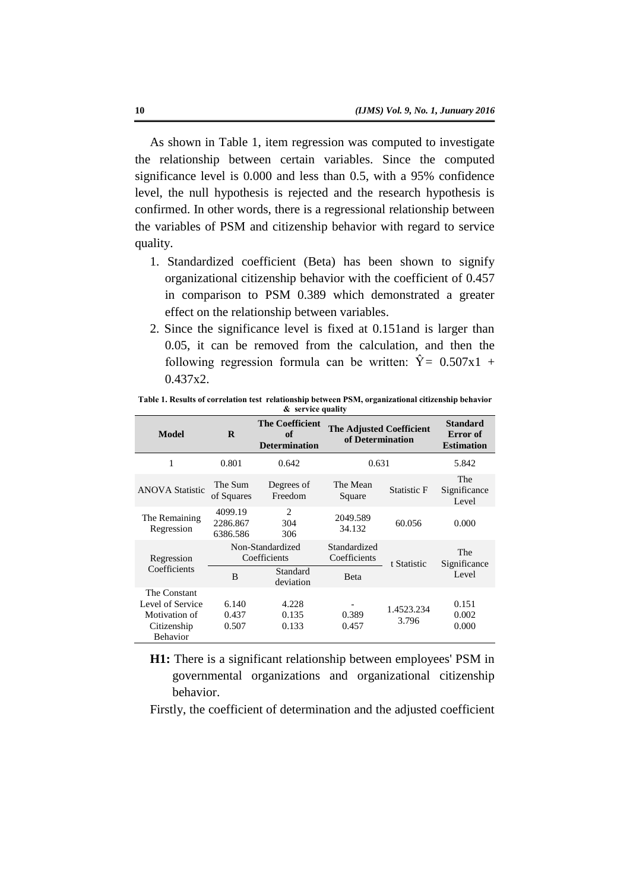As shown in Table 1, item regression was computed to investigate the relationship between certain variables. Since the computed significance level is 0.000 and less than 0.5, with a 95% confidence level, the null hypothesis is rejected and the research hypothesis is confirmed. In other words, there is a regressional relationship between the variables of PSM and citizenship behavior with regard to service quality.

- 1. Standardized coefficient (Beta) has been shown to signify organizational citizenship behavior with the coefficient of 0.457 in comparison to PSM 0.389 which demonstrated a greater effect on the relationship between variables.
- 2. Since the significance level is fixed at 0.151and is larger than 0.05, it can be removed from the calculation, and then the following regression formula can be written:  $\hat{Y} = 0.507 \times 1 + 1$ 0.437x2.

| Model                       | R                                | <b>The Coefficient</b><br>of<br><b>Determination</b> | <b>The Adjusted Coefficient</b><br>of Determination |             | <b>Standard</b><br>Error of<br><b>Estimation</b> |
|-----------------------------|----------------------------------|------------------------------------------------------|-----------------------------------------------------|-------------|--------------------------------------------------|
| 1                           | 0.801                            | 0.642                                                | 0.631                                               |             | 5.842                                            |
| <b>ANOVA Statistic</b>      | The Sum<br>of Squares            | Degrees of<br>Freedom                                | The Mean<br>Square                                  | Statistic F | The<br>Significance<br>Level                     |
| The Remaining<br>Regression | 4099.19<br>2286.867<br>6386.586  | $\mathfrak{D}_{\mathfrak{p}}$<br>304<br>306          | 2049.589<br>34.132                                  | 60.056      | 0.000                                            |
| Regression<br>Coefficients  | Non-Standardized<br>Coefficients |                                                      | Standardized<br>Coefficients                        | t Statistic | <b>The</b><br>Significance                       |
|                             | B                                | Standard<br>deviation                                | <b>B</b> eta                                        |             | Level                                            |
| The Constant                |                                  |                                                      |                                                     |             |                                                  |
| Level of Service            | 6.140                            | 4.228                                                |                                                     | 1.4523.234  | 0.151                                            |
| Motivation of               | 0.437                            | 0.135                                                | 0.389                                               | 3.796       | 0.002                                            |
| Citizenship                 | 0.507                            | 0.133                                                | 0.457                                               |             | 0.000                                            |
| <b>Behavior</b>             |                                  |                                                      |                                                     |             |                                                  |

**Table 1. Results of correlation test relationship between PSM, organizational citizenship behavior & service quality**

**H1:** There is a significant relationship between employees' PSM in governmental organizations and organizational citizenship behavior.

Firstly, the coefficient of determination and the adjusted coefficient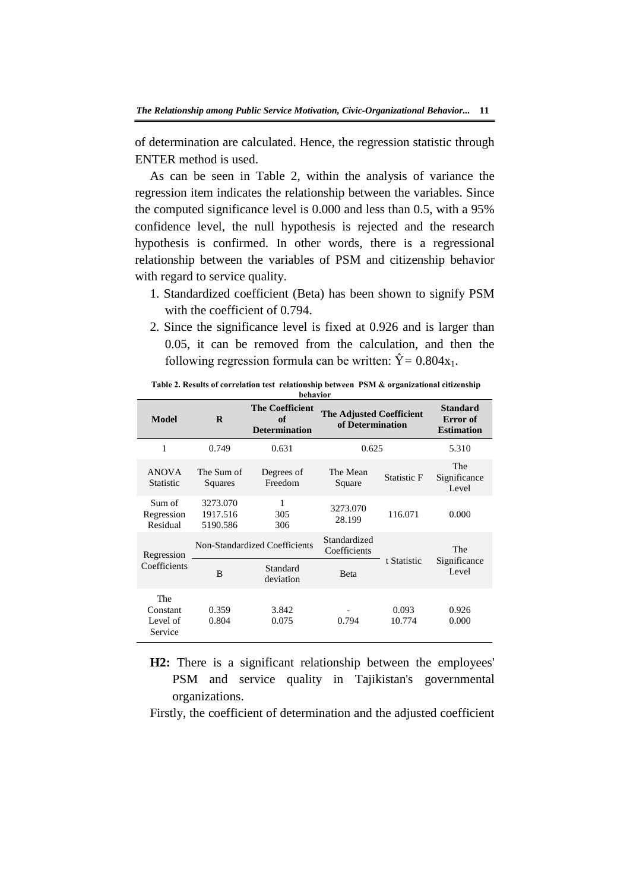of determination are calculated. Hence, the regression statistic through ENTER method is used.

As can be seen in Table 2, within the analysis of variance the regression item indicates the relationship between the variables. Since the computed significance level is 0.000 and less than 0.5, with a 95% confidence level, the null hypothesis is rejected and the research hypothesis is confirmed. In other words, there is a regressional relationship between the variables of PSM and citizenship behavior with regard to service quality.

- 1. Standardized coefficient (Beta) has been shown to signify PSM with the coefficient of 0.794.
- 2. Since the significance level is fixed at 0.926 and is larger than 0.05, it can be removed from the calculation, and then the following regression formula can be written:  $\hat{Y} = 0.804x_1$ .

| <b>Model</b>                           | $\bf{R}$                         | <b>The Coefficient</b><br>of<br><b>Determination</b> | <b>The Adjusted Coefficient</b><br>of Determination |                 | <b>Standard</b><br>Error of<br><b>Estimation</b> |  |
|----------------------------------------|----------------------------------|------------------------------------------------------|-----------------------------------------------------|-----------------|--------------------------------------------------|--|
| 1                                      | 0.749<br>0.631                   |                                                      | 0.625                                               |                 | 5.310                                            |  |
| <b>ANOVA</b><br><b>Statistic</b>       | The Sum of<br>Squares            | Degrees of<br>Freedom                                | The Mean<br>Square                                  | Statistic F     | The<br>Significance<br>Level                     |  |
| Sum of<br>Regression<br>Residual       | 3273.070<br>1917.516<br>5190.586 | 1<br>305<br>306                                      | 3273.070<br>28.199                                  | 116.071         | 0.000                                            |  |
| Regression<br>Coefficients             | Non-Standardized Coefficients    |                                                      | Standardized<br>Coefficients                        |                 | The                                              |  |
|                                        | B                                | Standard<br>deviation                                | Beta                                                | t Statistic     | Significance<br>Level                            |  |
| The<br>Constant<br>Level of<br>Service | 0.359<br>0.804                   | 3.842<br>0.075                                       | 0.794                                               | 0.093<br>10.774 | 0.926<br>0.000                                   |  |

**Table 2. Results of correlation test relationship between PSM & organizational citizenship behavior**

**H2:** There is a significant relationship between the employees' PSM and service quality in Tajikistan's governmental organizations.

Firstly, the coefficient of determination and the adjusted coefficient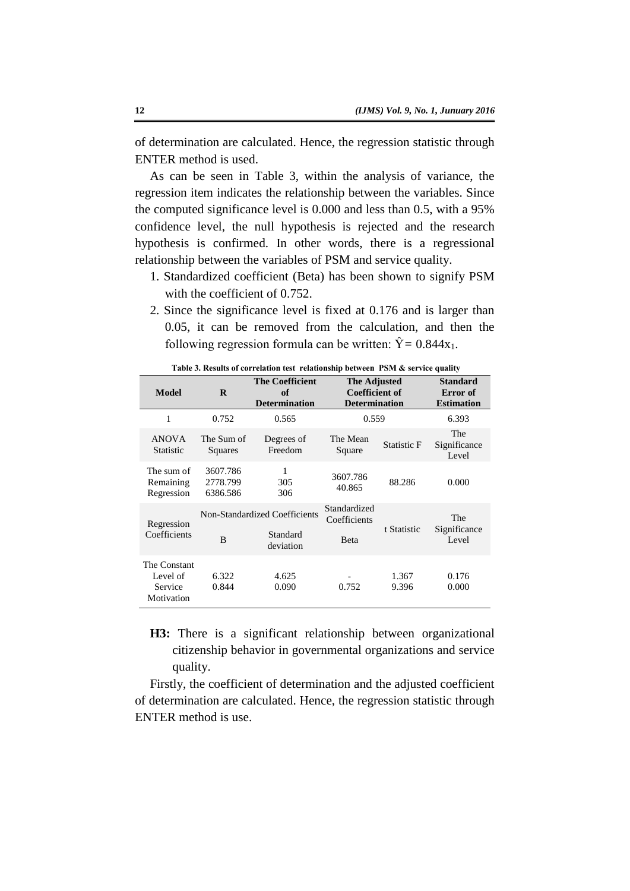of determination are calculated. Hence, the regression statistic through ENTER method is used.

As can be seen in Table 3, within the analysis of variance, the regression item indicates the relationship between the variables. Since the computed significance level is 0.000 and less than 0.5, with a 95% confidence level, the null hypothesis is rejected and the research hypothesis is confirmed. In other words, there is a regressional relationship between the variables of PSM and service quality.

- 1. Standardized coefficient (Beta) has been shown to signify PSM with the coefficient of 0.752.
- 2. Since the significance level is fixed at 0.176 and is larger than 0.05, it can be removed from the calculation, and then the following regression formula can be written:  $\hat{Y} = 0.844x_1$ .

| <b>Model</b>                                      | $\bf{R}$                         | <b>The Coefficient</b><br>of<br><b>Determination</b>   | <b>The Adjusted</b><br><b>Coefficient of</b><br><b>Determination</b> |                    | <b>Standard</b><br>Error of<br><b>Estimation</b> |  |
|---------------------------------------------------|----------------------------------|--------------------------------------------------------|----------------------------------------------------------------------|--------------------|--------------------------------------------------|--|
| 1                                                 | 0.752                            | 0.565                                                  | 0.559                                                                |                    | 6.393                                            |  |
| <b>ANOVA</b><br>Statistic                         | The Sum of<br>Squares            | Degrees of<br>Freedom                                  | The Mean<br>Square                                                   | <b>Statistic F</b> | The<br>Significance<br>Level                     |  |
| The sum of<br>Remaining<br>Regression             | 3607.786<br>2778.799<br>6386.586 | 1<br>305<br>306                                        | 3607.786<br>40.865                                                   | 88.286             | 0.000                                            |  |
| Regression<br>Coefficients                        | B                                | Non-Standardized Coefficients<br>Standard<br>deviation | Standardized<br>Coefficients<br>Beta                                 | t Statistic        | The<br>Significance<br>Level                     |  |
| The Constant<br>Level of<br>Service<br>Motivation | 6.322<br>0.844                   | 4.625<br>0.090                                         | 0.752                                                                | 1.367<br>9.396     | 0.176<br>0.000                                   |  |

**Table 3. Results of correlation test relationship between PSM & service quality**

**H3:** There is a significant relationship between organizational citizenship behavior in governmental organizations and service quality.

Firstly, the coefficient of determination and the adjusted coefficient of determination are calculated. Hence, the regression statistic through ENTER method is use.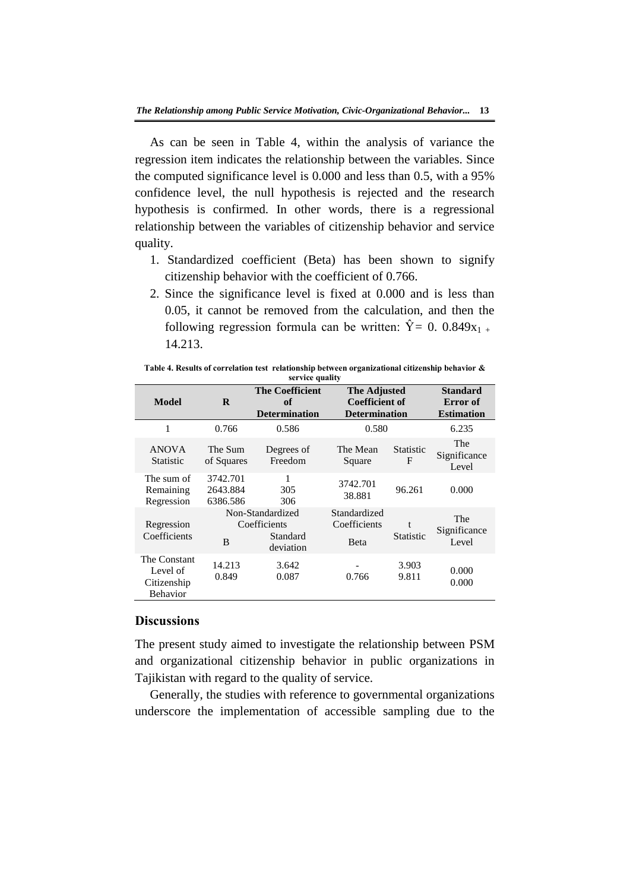As can be seen in Table 4, within the analysis of variance the regression item indicates the relationship between the variables. Since the computed significance level is 0.000 and less than 0.5, with a 95% confidence level, the null hypothesis is rejected and the research hypothesis is confirmed. In other words, there is a regressional relationship between the variables of citizenship behavior and service quality.

- 1. Standardized coefficient (Beta) has been shown to signify citizenship behavior with the coefficient of 0.766.
- 2. Since the significance level is fixed at 0.000 and is less than 0.05, it cannot be removed from the calculation, and then the following regression formula can be written:  $\hat{Y} = 0.0849x_{1+}$ 14.213.

**Table 4. Results of correlation test relationship between organizational citizenship behavior & service quality**

| эсі үне чиашу                                              |                                                                |                                                      |                                                                      |                                  |                                           |
|------------------------------------------------------------|----------------------------------------------------------------|------------------------------------------------------|----------------------------------------------------------------------|----------------------------------|-------------------------------------------|
| <b>Model</b>                                               | R                                                              | <b>The Coefficient</b><br>of<br><b>Determination</b> | <b>The Adjusted</b><br><b>Coefficient of</b><br><b>Determination</b> |                                  | Standard<br>Error of<br><b>Estimation</b> |
| 1                                                          | 0.766                                                          | 0.586                                                | 0.580                                                                |                                  | 6.235                                     |
| <b>ANOVA</b><br><b>Statistic</b>                           | The Sum<br>of Squares                                          | Degrees of<br>Freedom                                | The Mean<br>Square                                                   | <b>Statistic</b><br>F            | The<br>Significance<br>Level              |
| The sum of<br>Remaining<br>Regression                      | 3742.701<br>2643.884<br>6386.586                               | 1<br>305<br>306                                      | 3742.701<br>38.881                                                   | 96.261                           | 0.000                                     |
| Regression<br>Coefficients                                 | Non-Standardized<br>Coefficients<br>Standard<br>B<br>deviation |                                                      | Standardized<br>Coefficients<br>Beta                                 | $\mathbf{f}$<br><b>Statistic</b> | The<br>Significance<br>Level              |
| The Constant<br>Level of<br>Citizenship<br><b>Behavior</b> | 14.213<br>0.849                                                | 3.642<br>0.087                                       | 0.766                                                                | 3.903<br>9.811                   | 0.000<br>0.000                            |

# **Discussions**

The present study aimed to investigate the relationship between PSM and organizational citizenship behavior in public organizations in Tajikistan with regard to the quality of service.

Generally, the studies with reference to governmental organizations underscore the implementation of accessible sampling due to the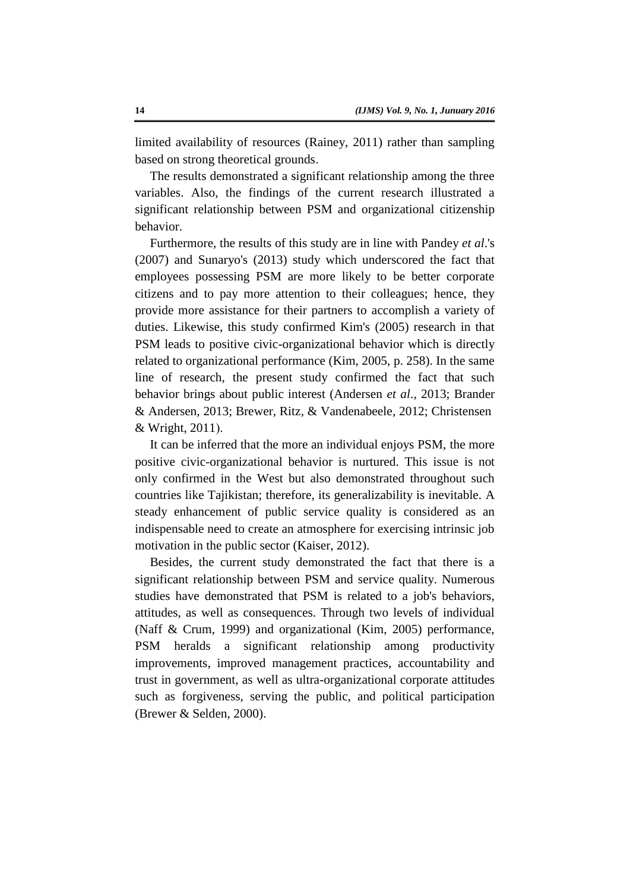limited availability of resources (Rainey, 2011) rather than sampling based on strong theoretical grounds.

The results demonstrated a significant relationship among the three variables. Also, the findings of the current research illustrated a significant relationship between PSM and organizational citizenship behavior.

Furthermore, the results of this study are in line with Pandey *et al*.'s (2007) and Sunaryo's (2013) study which underscored the fact that employees possessing PSM are more likely to be better corporate citizens and to pay more attention to their colleagues; hence, they provide more assistance for their partners to accomplish a variety of duties. Likewise, this study confirmed Kim's (2005) research in that PSM leads to positive civic-organizational behavior which is directly related to organizational performance (Kim, 2005, p. 258). In the same line of research, the present study confirmed the fact that such behavior brings about public interest (Andersen *et al*., 2013; Brander & Andersen, 2013; Brewer, Ritz, & Vandenabeele, 2012; Christensen  $&$  Wright, 2011).

It can be inferred that the more an individual enjoys PSM, the more positive civic-organizational behavior is nurtured. This issue is not only confirmed in the West but also demonstrated throughout such countries like Tajikistan; therefore, its generalizability is inevitable. A steady enhancement of public service quality is considered as an indispensable need to create an atmosphere for exercising intrinsic job motivation in the public sector (Kaiser, 2012).

Besides, the current study demonstrated the fact that there is a significant relationship between PSM and service quality. Numerous studies have demonstrated that PSM is related to a job's behaviors, attitudes, as well as consequences. Through two levels of individual (Naff & Crum, 1999) and organizational (Kim, 2005) performance, PSM heralds a significant relationship among productivity improvements, improved management practices, accountability and trust in government, as well as ultra-organizational corporate attitudes such as forgiveness, serving the public, and political participation (Brewer & Selden, 2000).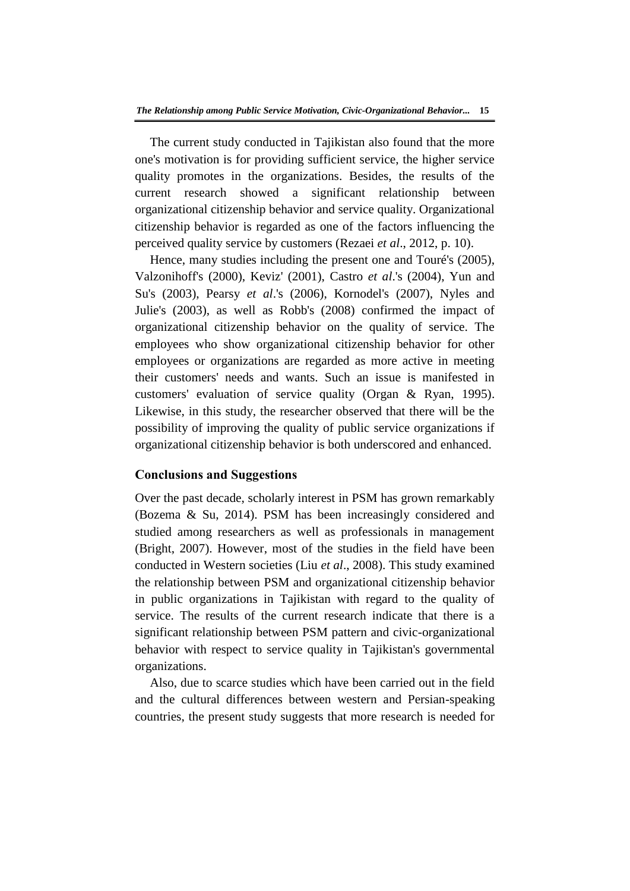The current study conducted in Tajikistan also found that the more one's motivation is for providing sufficient service, the higher service quality promotes in the organizations. Besides, the results of the current research showed a significant relationship between organizational citizenship behavior and service quality. Organizational citizenship behavior is regarded as one of the factors influencing the perceived quality service by customers (Rezaei *et al*., 2012, p. 10).

Hence, many studies including the present one and Touré's (2005), Valzonihoff's (2000), Keviz' (2001), Castro *et al*.'s (2004), Yun and Su's (2003), Pearsy *et al*.'s (2006), Kornodel's (2007), Nyles and Julie's (2003), as well as Robb's (2008) confirmed the impact of organizational citizenship behavior on the quality of service. The employees who show organizational citizenship behavior for other employees or organizations are regarded as more active in meeting their customers' needs and wants. Such an issue is manifested in customers' evaluation of service quality (Organ & Ryan, 1995). Likewise, in this study, the researcher observed that there will be the possibility of improving the quality of public service organizations if organizational citizenship behavior is both underscored and enhanced.

### **Conclusions and Suggestions**

Over the past decade, scholarly interest in PSM has grown remarkably (Bozema & Su, 2014). PSM has been increasingly considered and studied among researchers as well as professionals in management (Bright, 2007). However, most of the studies in the field have been conducted in Western societies (Liu *et al*., 2008). This study examined the relationship between PSM and organizational citizenship behavior in public organizations in Tajikistan with regard to the quality of service. The results of the current research indicate that there is a significant relationship between PSM pattern and civic-organizational behavior with respect to service quality in Tajikistan's governmental organizations.

Also, due to scarce studies which have been carried out in the field and the cultural differences between western and Persian-speaking countries, the present study suggests that more research is needed for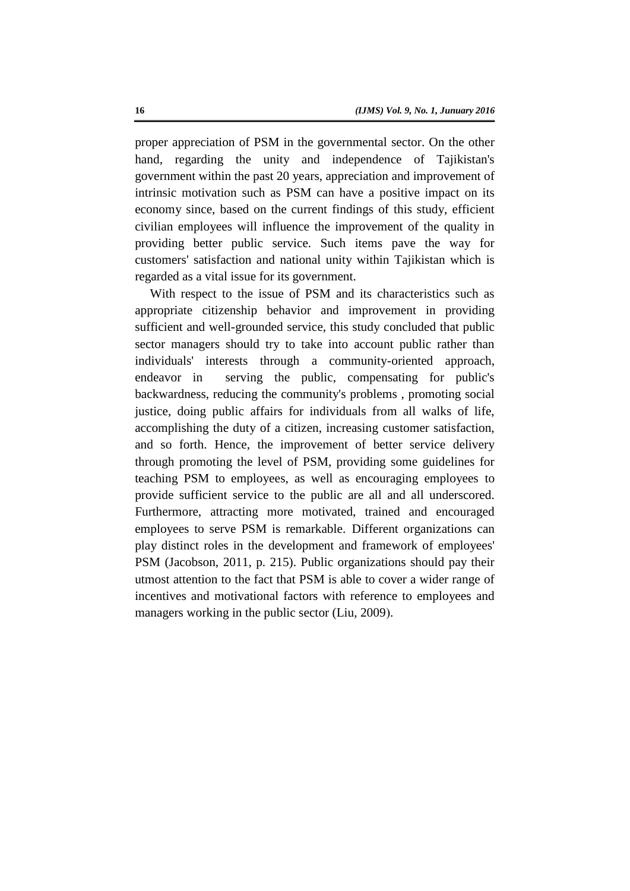proper appreciation of PSM in the governmental sector. On the other hand, regarding the unity and independence of Tajikistan's government within the past 20 years, appreciation and improvement of intrinsic motivation such as PSM can have a positive impact on its economy since, based on the current findings of this study, efficient civilian employees will influence the improvement of the quality in providing better public service. Such items pave the way for customers' satisfaction and national unity within Tajikistan which is regarded as a vital issue for its government.

With respect to the issue of PSM and its characteristics such as appropriate citizenship behavior and improvement in providing sufficient and well-grounded service, this study concluded that public sector managers should try to take into account public rather than individuals' interests through a community-oriented approach, endeavor in serving the public, compensating for public's backwardness, reducing the community's problems , promoting social justice, doing public affairs for individuals from all walks of life, accomplishing the duty of a citizen, increasing customer satisfaction, and so forth. Hence, the improvement of better service delivery through promoting the level of PSM, providing some guidelines for teaching PSM to employees, as well as encouraging employees to provide sufficient service to the public are all and all underscored. Furthermore, attracting more motivated, trained and encouraged employees to serve PSM is remarkable. Different organizations can play distinct roles in the development and framework of employees' PSM (Jacobson, 2011, p. 215). Public organizations should pay their utmost attention to the fact that PSM is able to cover a wider range of incentives and motivational factors with reference to employees and managers working in the public sector (Liu, 2009).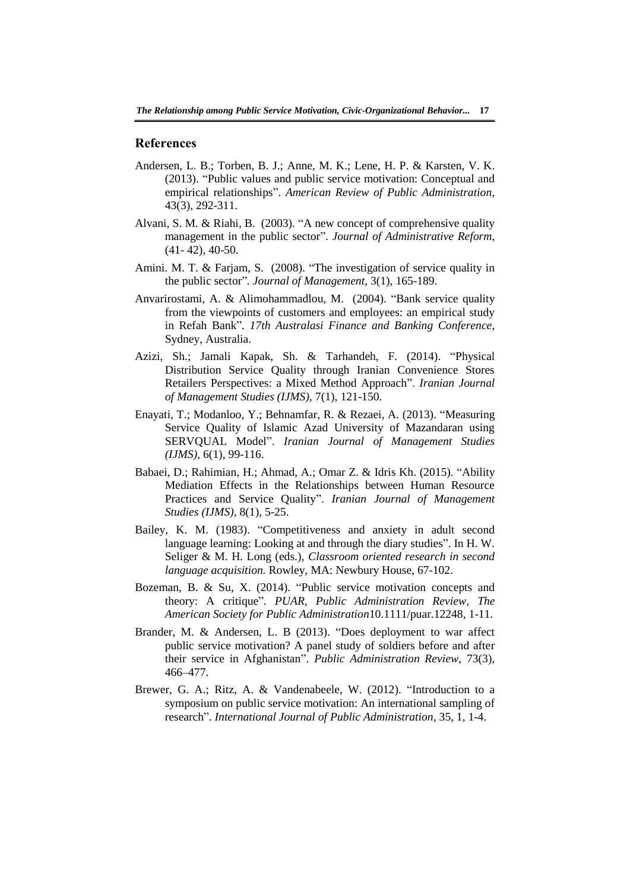#### **References**

- Andersen, L. B.; Torben, B. J.; Anne, M. K.; Lene, H. P. & Karsten, V. K. (2013). "Public values and public service motivation: Conceptual and empirical relationships". *American Review of Public Administration*, 43(3), 292-311.
- Alvani, S. M. & Riahi, B. (2003). "A new concept of comprehensive quality management in the public sector". *Journal of Administrative Reform*,  $(41 - 42)$ , 40-50.
- Amini. M. T. & Farjam, S. (2008). "The investigation of service quality in the public sector"*. Journal of Management*, 3(1), 165-189.
- Anvarirostami, A. & Alimohammadlou, M. (2004). "Bank service quality from the viewpoints of customers and employees: an empirical study in Refah Bank". *17th Australasi Finance and Banking Conference*, Sydney, Australia.
- Azizi, Sh.; Jamali Kapak, Sh. & Tarhandeh, F. (2014). "Physical Distribution Service Quality through Iranian Convenience Stores Retailers Perspectives: a Mixed Method Approach". *Iranian Journal of Management Studies (IJMS),* 7(1), 121-150.
- Enayati, T.; Modanloo, Y.; Behnamfar, R. & Rezaei, A. (2013). "Measuring Service Quality of Islamic Azad University of Mazandaran using SERVQUAL Model". *Iranian Journal of Management Studies (IJMS)*, 6(1), 99-116.
- Babaei, D.; Rahimian, H.; Ahmad, A.; Omar Z. & Idris Kh. (2015). "Ability Mediation Effects in the Relationships between Human Resource Practices and Service Quality". *Iranian Journal of Management Studies (IJMS)*, 8(1), 5-25.
- Bailey, K. M. (1983). "Competitiveness and anxiety in adult second language learning: Looking at and through the diary studies". In H. W. Seliger & M. H. Long (eds.), *Classroom oriented research in second language acquisition.* Rowley, MA: Newbury House, 67-102.
- Bozeman, B. & Su, X. (2014). "Public service motivation concepts and theory: A critique"*. PUAR, Public Administration Review*, *The American Society for Public Administration*10.1111/puar.12248, 1-11.
- Brander, M. & Andersen, L. B (2013). "Does deployment to war affect public service motivation? A panel study of soldiers before and after their service in Afghanistan". *Public Administration Review*, 73(3), 466–477.
- Brewer, G. A.; Ritz, A. & Vandenabeele, W. (2012). "Introduction to a symposium on public service motivation: An international sampling of research". *International Journal of Public Administration*, 35, 1, 1-4.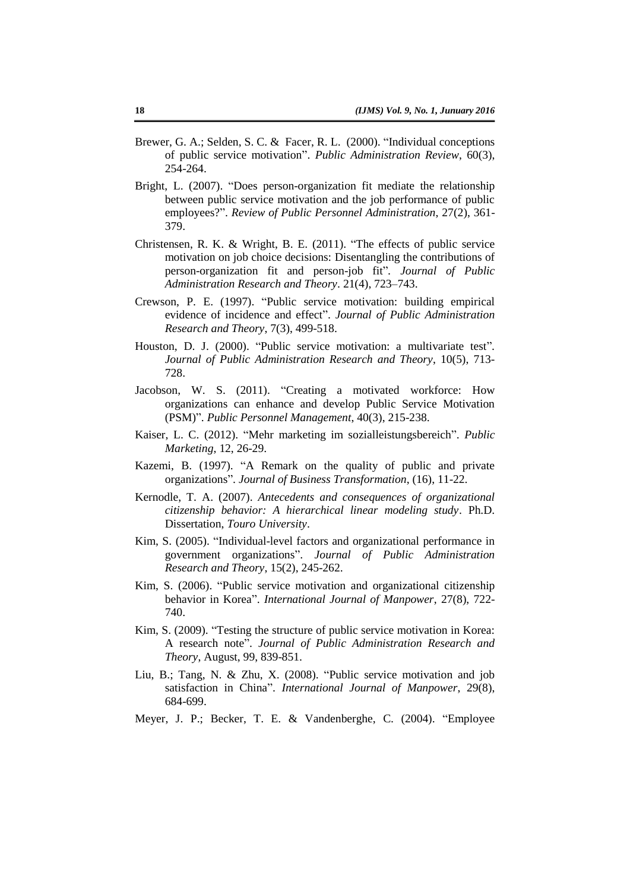- Brewer, G. A.; Selden, S. C. & Facer, R. L. (2000). "Individual conceptions of public service motivation". *Public Administration Review*, 60(3), 254-264.
- Bright, L. (2007). "Does person-organization fit mediate the relationship between public service motivation and the job performance of public employees?". *Review of Public Personnel Administration*, 27(2), 361- 379.
- Christensen, R. K. & Wright, B. E. (2011). "The effects of public service motivation on job choice decisions: Disentangling the contributions of person-organization fit and person-job fit"*. Journal of Public Administration Research and Theory*. 21(4), 723–743.
- Crewson, P. E. (1997). "Public service motivation: building empirical evidence of incidence and effect". *Journal of Public Administration Research and Theory*, 7(3), 499-518.
- Houston, D. J. (2000). "Public service motivation: a multivariate test"*. Journal of Public Administration Research and Theory*, 10(5), 713- 728.
- Jacobson, W. S. (2011). "Creating a motivated workforce: How organizations can enhance and develop Public Service Motivation (PSM)". *Public Personnel Management*, 40(3), 215-238.
- Kaiser, L. C. (2012). "Mehr marketing im sozialleistungsbereich". *Public Marketing*, 12, 26-29.
- Kazemi, B. (1997). "A Remark on the quality of public and private organizations". *Journal of Business Transformation*, (16), 11-22.
- Kernodle, T. A. (2007). *Antecedents and consequences of organizational citizenship behavior: A hierarchical linear modeling study*. Ph.D. Dissertation, *Touro University*.
- Kim, S. (2005). "Individual-level factors and organizational performance in government organizations". *Journal of Public Administration Research and Theory*, 15(2), 245-262.
- Kim, S. (2006). "Public service motivation and organizational citizenship behavior in Korea". *International Journal of Manpower*, 27(8), 722- 740.
- Kim, S. (2009). "Testing the structure of public service motivation in Korea: A research note". *Journal of Public Administration Research and Theory*, August, 99, 839-851.
- Liu, B.; Tang, N. & Zhu, X. (2008). "Public service motivation and job satisfaction in China". *International Journal of Manpower*, 29(8), 684-699.
- Meyer, J. P.; Becker, T. E. & Vandenberghe, C. (2004). "Employee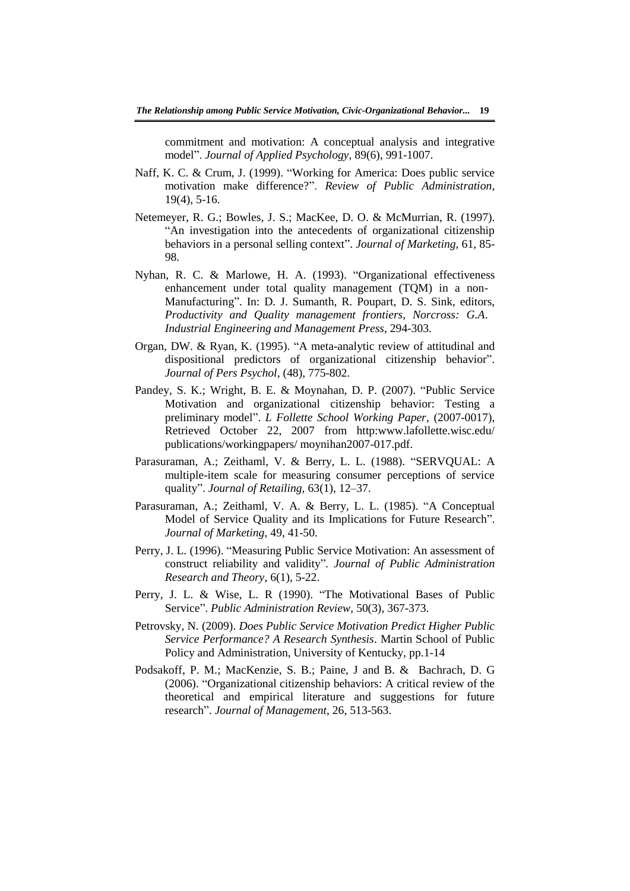commitment and motivation: A conceptual analysis and integrative model". *Journal of Applied Psychology*, 89(6), 991-1007.

- Naff, K. C. & Crum, J. (1999). "Working for America: Does public service motivation make difference?". *Review of Public Administration*, 19(4), 5-16.
- Netemeyer, R. G.; Bowles, J. S.; MacKee, D. O. & McMurrian, R. (1997). "An investigation into the antecedents of organizational citizenship behaviors in a personal selling context". *Journal of Marketing*, 61, 85- 98.
- Nyhan, R. C. & Marlowe, H. A. (1993). "Organizational effectiveness enhancement under total quality management (TQM) in a non-Manufacturing". In: D. J. Sumanth, R. Poupart, D. S. Sink, editors, *Productivity and Quality management frontiers, Norcross: G.A*. *Industrial Engineering and Management Press*, 294-303.
- Organ, DW. & Ryan, K. (1995). "A meta-analytic review of attitudinal and dispositional predictors of organizational citizenship behavior". *Journal of Pers Psychol*, (48), 775-802.
- Pandey, S. K.; Wright, B. E. & Moynahan, D. P. (2007). "Public Service Motivation and organizational citizenship behavior: Testing a preliminary model". *L Follette School Working Paper*, (2007-0017), Retrieved October 22, 2007 from http:www.lafollette.wisc.edu/ publications/workingpapers/ moynihan2007-017.pdf.
- Parasuraman, A.; Zeithaml, V. & Berry, L. L. (1988). "SERVQUAL: A multiple-item scale for measuring consumer perceptions of service quality". *Journal of Retailing*, 63(1), 12–37.
- Parasuraman, A.; Zeithaml, V. A. & Berry, L. L. (1985). "A Conceptual Model of Service Quality and its Implications for Future Research". *Journal of Marketing*, 49, 41-50.
- Perry, J. L. (1996). "Measuring Public Service Motivation: An assessment of construct reliability and validity"*. Journal of Public Administration Research and Theory*, 6(1), 5-22.
- Perry, J. L. & Wise, L. R (1990). "The Motivational Bases of Public Service". *Public Administration Review*, 50(3), 367-373.
- Petrovsky, N. (2009). *Does Public Service Motivation Predict Higher Public Service Performance? A Research Synthesis*. Martin School of Public Policy and Administration, University of Kentucky, pp.1-14
- Podsakoff, P. M.; MacKenzie, S. B.; Paine, J and B. & Bachrach, D. G (2006). "Organizational citizenship behaviors: A critical review of the theoretical and empirical literature and suggestions for future research". *Journal of Management*, 26, 513-563.